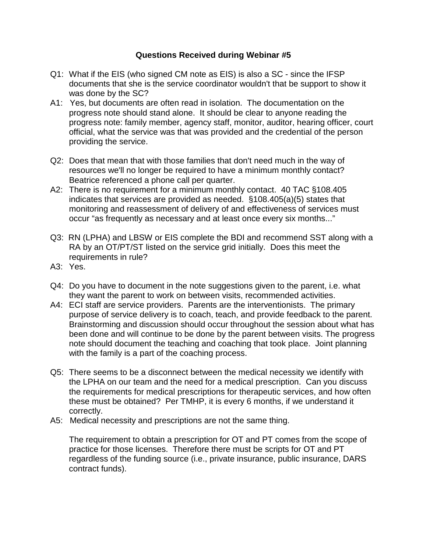## **Questions Received during Webinar #5**

- Q1: What if the EIS (who signed CM note as EIS) is also a SC since the IFSP documents that she is the service coordinator wouldn't that be support to show it was done by the SC?
- A1: Yes, but documents are often read in isolation. The documentation on the progress note should stand alone. It should be clear to anyone reading the progress note: family member, agency staff, monitor, auditor, hearing officer, court official, what the service was that was provided and the credential of the person providing the service.
- Q2: Does that mean that with those families that don't need much in the way of resources we'll no longer be required to have a minimum monthly contact? Beatrice referenced a phone call per quarter.
- A2: There is no requirement for a minimum monthly contact. 40 TAC §108.405 indicates that services are provided as needed. §108.405(a)(5) states that monitoring and reassessment of delivery of and effectiveness of services must occur "as frequently as necessary and at least once every six months..."
- Q3: RN (LPHA) and LBSW or EIS complete the BDI and recommend SST along with a RA by an OT/PT/ST listed on the service grid initially. Does this meet the requirements in rule?
- A3: Yes.
- Q4: Do you have to document in the note suggestions given to the parent, i.e. what they want the parent to work on between visits, recommended activities.
- A4: ECI staff are service providers. Parents are the interventionists. The primary purpose of service delivery is to coach, teach, and provide feedback to the parent. Brainstorming and discussion should occur throughout the session about what has been done and will continue to be done by the parent between visits. The progress note should document the teaching and coaching that took place. Joint planning with the family is a part of the coaching process.
- Q5: There seems to be a disconnect between the medical necessity we identify with the LPHA on our team and the need for a medical prescription. Can you discuss the requirements for medical prescriptions for therapeutic services, and how often these must be obtained? Per TMHP, it is every 6 months, if we understand it correctly.
- A5: Medical necessity and prescriptions are not the same thing.

The requirement to obtain a prescription for OT and PT comes from the scope of practice for those licenses. Therefore there must be scripts for OT and PT regardless of the funding source (i.e., private insurance, public insurance, DARS contract funds).